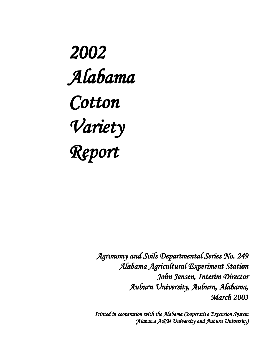2002 Alabama Cotton Variety Report

> Agronomy and Soils Departmental Series No. 249 Alabama Agricultural Experiment Station John Jensen, Interim Director Auburn University, Auburn, Alabama, **March 2003**

> Printed in cooperation with the Alabama Cooperative Extension System (Alabama A&M University and Auburn University)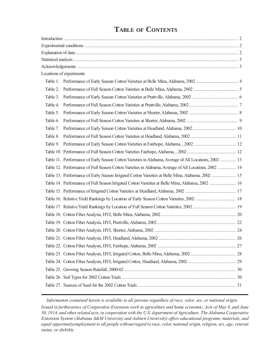|          | Locations of experiments                                                                              |  |
|----------|-------------------------------------------------------------------------------------------------------|--|
|          |                                                                                                       |  |
| Table 2. |                                                                                                       |  |
| Table 3. |                                                                                                       |  |
| Table 4. |                                                                                                       |  |
| Table 5. |                                                                                                       |  |
| Table 6. |                                                                                                       |  |
| Table 7. |                                                                                                       |  |
| Table 8. |                                                                                                       |  |
|          |                                                                                                       |  |
|          |                                                                                                       |  |
|          | Table 11. Performance of Early Season Cotton Varieties in Alabama, Average of All Locations, 2002  13 |  |
|          | Table 12. Performance of Full Season Cotton Varieties in Alabama, Average of All Locations, 2002  14  |  |
|          | Table 13. Performance of Early Season Irrigated Cotton Varieties at Belle Mina, Alabama, 2002  15     |  |
|          | Table 14. Performance of Full Season Irrigated Cotton Varieties at Belle Mina, Alabama, 2002  16      |  |
|          |                                                                                                       |  |
|          |                                                                                                       |  |
|          |                                                                                                       |  |
|          |                                                                                                       |  |
|          |                                                                                                       |  |
|          |                                                                                                       |  |
|          |                                                                                                       |  |
|          |                                                                                                       |  |
|          |                                                                                                       |  |
|          |                                                                                                       |  |
|          |                                                                                                       |  |
|          |                                                                                                       |  |
|          |                                                                                                       |  |
|          |                                                                                                       |  |

# **TABLE OF CONTENTS**

*Information contained herein is available to all persons regardless of race, color, sex, or national origin.*

*Issued in furtherarnce of Cooperative Extension work in agriculture and home economic, Acts of May 8, and June 30, 1914, and other related acts, in cooperation with the U.S. department of Agriculture. The Alabama Cooperative Extension System (Alabama A&M University and Auburn University) offers educational programs, materials, and equal opportunityemployment to all people without regard to race, color, national origin, religion, sex, age, veteran status, or disbility*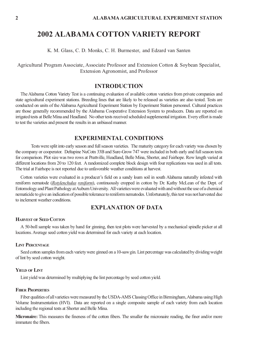K. M. Glass, C. D. Monks, C. H. Burmester, and Edzard van Santen

Agricultural Program Associate, Associate Professor and Extension Cotton & Soybean Specialist, Extension Agronomist, and Professor

## **INTRODUCTION**

The Alabama Cotton Variety Test is a continuing evaluation of available cotton varieties from private companies and state agricultural experiment stations. Breeding lines that are likely to be released as varieties are also tested. Tests are conducted on units of the Alabama Agricultural Experiment Station by Experiment Station personnel. Cultural practices are those generally recommended by the Alabama Cooperative Extension System to producers. Data are reported on irrigated tests at Belle Mina and Headland. No other tests received scheduled supplemental irrigation. Every effort is made to test the varieties and present the results in an unbiased manner.

## **EXPERIMENTAL CONDITIONS**

Tests were split into early season and full season varieties. The maturity category for each variety was chosen by the company or cooperator. Deltapine NuCotn 33B and Sure-Grow 747 were included in both early and full season tests for comparison. Plot size was two rows at Prattville, Headland, Belle Mina, Shorter, and Fairhope. Row length varied at different locations from 20 to 120 feet. A randomized complete block design with four replications was used in all tests. The trial at Fairhope is not reported due to unfavorable weather conditions at harvest.

Cotton varieties were evaluated in a producer's field on a sandy loam soil in south Alabama naturally infested with reniform nematode (*Rotylenchulus reniform*), continuously cropped in cotton by Dr. Kathy McLean of the Dept. of Entomology and Plant Pathology at Auburn University. All varieties were evaluated with and without the use of a chemical nematicide to give an indication of possible tolerance to reniform nematodes. Unfortunately, this test was not harvested due to inclement weather conditions.

# **EXPLANATION OF DATA**

#### **HARVEST OF SEED COTTON**

A 50-boll sample was taken by hand for ginning, then test plots were harvested by a mechanical spindle picker at all locations. Average seed cotton yield was determined for each variety at each location.

#### **LINT PERCENTAGE**

Seed cotton samples from each variety were ginned on a 10-saw gin. Lint percentage was calculated by dividing weight of lint by seed cotton weight.

#### **YIELD OF LINT**

Lint yield was determined by multiplying the lint percentage by seed cotton yield.

#### **FIBER PROPERTIES**

Fiber qualities of all varieties were measured by the USDA-AMS Classing Office in Birmingham, Alabama using High Volume Instrumentation (HVI). Data are reported on a single composite sample of each variety from each location including the regional tests at Shorter and Belle Mina.

**Micronaire:** This measures the fineness of the cotton fibers. The smaller the micronaire reading, the finer and/or more immature the fibers.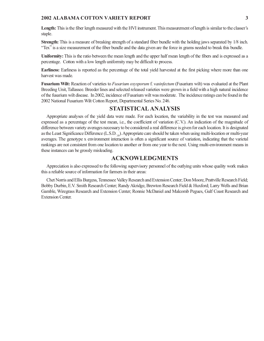**Length:** This is the fiber length measured with the HVI instrument. This measurement of length is similar to the classer's staple.

**Strength:** This is a measure of breaking strength of a standard fiber bundle with the holding jaws separated by 1/8 inch. "Tex" is a size measurement of the fiber bundle and the data given are the force in grams needed to break this bundle.

**Uniformity:** This is the ratio between the mean length and the upper half mean length of the fibers and is expressed as a percentage. Cotton with a low length uniformity may be difficult to process.

**Earliness:** Earliness is reported as the percentage of the total yield harvested at the first picking where more than one harvest was made.

**Fusarium Wilt:** Reaction of varieties to *Fusarium oxysporum* f. *vasinfectum* (Fusarium wilt) was evaluated at the Plant Breeding Unit, Tallassee. Breeder lines and selected released varieties were grown in a field with a high natural incidence of the fusarium wilt disease. In 2002, incidence of Fusarium wilt was moderate. The incidence ratings can be found in the 2002 National Fusarium Wilt Cotton Report, Departmental Series No. 246.

### **STATISTICAL ANALYSIS**

Appropriate analyses of the yield data were made. For each location, the variability in the test was measured and expressed as a percentage of the test mean, i.e., the coefficient of variation (C.V.). An indication of the magnitude of difference between variety averages necessary to be considered a real difference is given for each location. It is designated as the Least Significance Difference (L.S.D., b). Appropriate care should be taken when using multi-location or multi-year averages. The genotype x environment interaction is often a significant source of variation, indicating that the varietal rankings are not consistent from one location to another or from one year to the next. Using multi-environment means in these instances can be grossly misleading.

### **ACKNOWLEDGMENTS**

Appreciation is also expressed to the following supervisory personnel of the outlying units whose quality work makes this a reliable source of information for farmers in their areas:

Chet Norris and Ellis Burgess, Tennessee Valley Research and Extension Center; Don Moore, Prattville Research Field; Bobby Durbin, E.V. Smith Research Center; Randy Akridge, Brewton Research Field & Huxford; Larry Wells and Brian Gamble, Wiregrass Research and Extension Center; Ronnie McDaniel and Malcomb Pegues, Gulf Coast Research and Extension Center.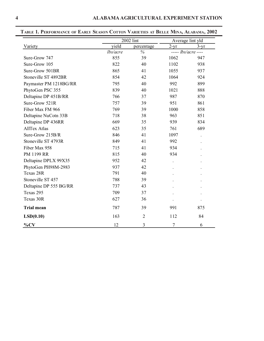|                        | 2002 lint |                | Average lint yld    |          |
|------------------------|-----------|----------------|---------------------|----------|
| Variety                | yield     | percentage     | $2-yr$              | $3 - yr$ |
|                        | lbs/acre  | $\%$           | $---$ lbs/acre ---- |          |
| Sure-Grow 747          | 855       | 39             | 1062                | 947      |
| Sure-Grow 105          | 822       | 40             | 1102                | 938      |
| Sure-Grow 501BR        | 865       | 41             | 1055                | 937      |
| Stoneville ST 4892BR   | 854       | 42             | 1064                | 924      |
| Paymaster PM 1218BG/RR | 795       | 40             | 992                 | 899      |
| PhytoGen PSC 355       | 839       | 40             | 1021                | 888      |
| Deltapine DP 451B/RR   | 766       | 37             | 987                 | 870      |
| Sure-Grow 521R         | 757       | 39             | 951                 | 861      |
| Fiber Max FM 966       | 769       | 39             | 1000                | 858      |
| Deltapine NuCotn 33B   | 718       | 38             | 963                 | 851      |
| Deltapine DP 436RR     | 669       | 35             | 939                 | 834      |
| <b>AllTex Atlas</b>    | 623       | 35             | 761                 | 689      |
| Sure-Grow 215B/R       | 846       | 41             | 1097                |          |
| Stoneville ST 4793R    | 849       | 41             | 992                 |          |
| Fiber Max 958          | 715       | 41             | 934                 |          |
| PM 1199 RR             | 815       | 40             | 934                 |          |
| Deltapine DPLX 99X35   | 952       | 42             |                     |          |
| PhytoGen PH98M-2983    | 937       | 42             |                     |          |
| Texas 28R              | 791       | 40             |                     |          |
| Stoneville ST 457      | 788       | 39             |                     |          |
| Deltapine DP 555 BG/RR | 737       | 43             |                     |          |
| Texas 295              | 709       | 37             |                     |          |
| Texas 30R              | 627       | 36             |                     |          |
| <b>Trial mean</b>      | 787       | 39             | 991                 | 875      |
| LSD(0.10)              | 163       | $\overline{2}$ | 112                 | 84       |
| $\%CV$                 | 12        | 3              | 7                   | 6        |

# **TABLE 1. PERFORMANCE OF EARLY SEASON COTTON VARIETIES AT BELLE MINA, ALABAMA, 2002**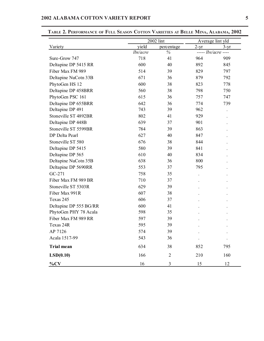|                        | 2002 lint |                |                     | Average lint yld |
|------------------------|-----------|----------------|---------------------|------------------|
| Variety                | yield     | percentage     | $2 - yr$            | $3-yr$           |
|                        | lbs/acre  | $\%$           | $---$ lbs/acre ---- |                  |
| Sure-Grow 747          | 718       | 41             | 964                 | 909              |
| Deltapine DP 5415 RR   | 600       | 40             | 892                 | 845              |
| Fiber Max FM 989       | 514       | 39             | 829                 | 797              |
| Deltapine NuCotn 33B   | 671       | 36             | 879                 | 792              |
| PhytoGen HS 12         | 600       | 38             | 823                 | 778              |
| Deltapine DP 458BRR    | 560       | 38             | 798                 | 750              |
| PhytoGen PSC 161       | 615       | 36             | 757                 | 747              |
| Deltapine DP 655BRR    | 642       | 36             | 774                 | 739              |
| Deltapine DP 491       | 743       | 39             | 962                 |                  |
| Stoneville ST 4892BR   | 802       | 41             | 929                 |                  |
| Deltapine DP 448B      | 639       | 37             | 901                 |                  |
| Stoneville ST 5599BR   | 784       | 39             | 863                 |                  |
| DP Delta Pearl         | 627       | 40             | 847                 |                  |
| Stoneville ST 580      | 676       | 38             | 844                 |                  |
| Deltapine DP 5415      | 580       | 39             | 841                 |                  |
| Deltapine DP 565       | 610       | 40             | 834                 |                  |
| Deltapine NuCotn 35B   | 638       | 36             | 800                 |                  |
| Deltapine DP 5690RR    | 553       | 37             | 795                 |                  |
| GC-271                 | 758       | 35             |                     |                  |
| Fiber Max FM 989 BR    | 710       | 37             |                     |                  |
| Stoneville ST 5303R    | 629       | 39             |                     |                  |
| Fiber Max 991R         | 607       | 38             |                     |                  |
| Texas 245              | 606       | 37             |                     |                  |
| Deltapine DP 555 BG/RR | 600       | 41             |                     |                  |
| PhytoGen PHY 78 Acala  | 598       | 35             |                     |                  |
| Fiber Max FM 989 RR    | 597       | 39             |                     |                  |
| Texas 24R              | 595       | 39             |                     |                  |
| AP 7126                | 574       | 39             |                     |                  |
| Acala 1517-99          | 543       | 36             |                     |                  |
| <b>Trial mean</b>      | 634       | 38             | 852                 | 795              |
| LSD(0.10)              | 166       | $\mathfrak{2}$ | 210                 | 160              |
| $\%CV$                 | $16\,$    | 3              | 15                  | 12               |

**TABLE 2. PERFORMANCE OF FULL SEASON COTTON VARIETIES AT BELLE MINA, ALABAMA, 2002**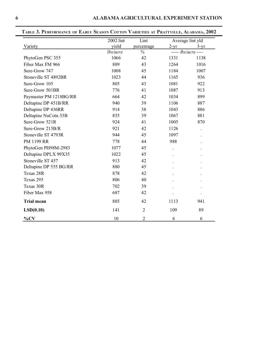|                        | 2002 lint | Lint           |        | Average lint yld    |
|------------------------|-----------|----------------|--------|---------------------|
| Variety                | yield     | percentage     | $2-yr$ | $3-yr$              |
|                        | lbs/acre  | $\%$           |        | $---$ lbs/acre ---- |
| PhytoGen PSC 355       | 1066      | 42             | 1331   | 1138                |
| Fiber Max FM 966       | 889       | 43             | 1264   | 1016                |
| Sure-Grow 747          | 1008      | 45             | 1184   | 1007                |
| Stoneville ST 4892BR   | 1023      | 44             | 1165   | 936                 |
| Sure-Grow 105          | 805       | 43             | 1081   | 922                 |
| Sure-Grow 501BR        | 776       | 41             | 1087   | 913                 |
| Paymaster PM 1218BG/RR | 664       | 42             | 1034   | 899                 |
| Deltapine DP 451B/RR   | 940       | 39             | 1106   | 887                 |
| Deltapine DP 436RR     | 914       | 38             | 1043   | 886                 |
| Deltapine NuCotn 33B   | 855       | 39             | 1067   | 881                 |
| Sure-Grow 521R         | 924       | 41             | 1005   | 870                 |
| Sure-Grow 215B/R       | 921       | 42             | 1126   |                     |
| Stoneville ST 4793R    | 944       | 45             | 1097   |                     |
| PM 1199 RR             | 778       | 44             | 988    |                     |
| PhytoGen PH98M-2983    | 1077      | 45             |        |                     |
| Deltapine DPLX 99X35   | 1022      | 45             |        |                     |
| Stoneville ST 457      | 913       | 42             |        |                     |
| Deltapine DP 555 BG/RR | 880       | 45             |        |                     |
| Texas 28R              | 878       | 42             |        |                     |
| Texas 295              | 806       | 40             |        |                     |
| Texas 30R              | 702       | 39             |        |                     |
| Fiber Max 958          | 687       | 42             |        |                     |
| <b>Trial mean</b>      | 885       | 42             | 1113   | 941                 |
| LSD(0.10)              | 141       | $\overline{2}$ | 109    | 89                  |
| $\%CV$                 | 10        | $\overline{2}$ | 6      | 6                   |

# **TABLE 3. PERFORMANCE OF EARLY SEASON COTTON VARIETIES AT PRATTVILLE, ALABAMA, 2002**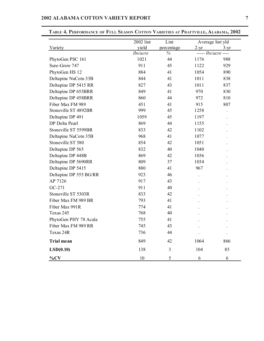|                        | 2002 lint         | Lint               |                               | Average lint yld |
|------------------------|-------------------|--------------------|-------------------------------|------------------|
| Variety                | yield<br>lbs/acre | percentage<br>$\%$ | $2-yr$<br>$---$ lbs/acre ---- | $3-yr$           |
| PhytoGen PSC 161       | 1021              | 44                 | 1176                          | 988              |
| Sure-Grow 747          | 911               | 45                 | 1122                          | 929              |
| PhytoGen HS 12         | 884               | 41                 | 1054                          | 890              |
| Deltapine NuCotn 33B   | 844               | 41                 | 1011                          | 838              |
| Deltapine DP 5415 RR   | 827               |                    | 1011                          | 837              |
|                        |                   | 43                 |                               |                  |
| Deltapine DP 655BRR    | 849               | 41                 | 970                           | 830              |
| Deltapine DP 458BRR    | 860               | 44                 | 972                           | 810              |
| Fiber Max FM 989       | 451               | 41                 | 915                           | 807              |
| Stoneville ST 4892BR   | 999               | 45                 | 1258                          |                  |
| Deltapine DP 491       | 1059              | 45                 | 1197                          |                  |
| DP Delta Pearl         | 869               | 44                 | 1155                          |                  |
| Stoneville ST 5599BR   | 833               | 42                 | 1102                          |                  |
| Deltapine NuCotn 35B   | 968               | 41                 | 1077                          |                  |
| Stoneville ST 580      | 854               | 42                 | 1051                          |                  |
| Deltapine DP 565       | 832               | 40                 | 1040                          |                  |
| Deltapine DP 448B      | 869               | 42                 | 1036                          |                  |
| Deltapine DP 5690RR    | 809               | 37                 | 1034                          |                  |
| Deltapine DP 5415      | 880               | 41                 | 967                           |                  |
| Deltapine DP 555 BG/RR | 923               | 46                 |                               |                  |
| AP 7126                | 917               | 43                 |                               |                  |
| GC-271                 | 911               | 40                 |                               |                  |
| Stoneville ST 5303R    | 833               | 42                 |                               |                  |
| Fiber Max FM 989 BR    | 793               | 41                 |                               |                  |
| Fiber Max 991R         | 774               | 41                 |                               |                  |
| Texas 245              | 768               | 40                 |                               |                  |
| PhytoGen PHY 78 Acala  | 755               | 41                 |                               |                  |
| Fiber Max FM 989 RR    | 745               | 43                 |                               |                  |
| Texas 24R              | 736               | 44                 |                               |                  |
| <b>Trial mean</b>      | 849               | 42                 | 1064                          | 866              |
| LSD(0.10)              | 138               | 3                  | 104                           | 85               |
| $\%CV$                 | 10                | 5                  | 6                             | 6                |

**TABLE 4. PERFORMANCE OF FULL SEASON COTTON VARIETIES AT PRATTVILLE, ALABAMA, 2002**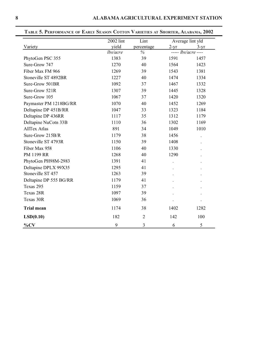|                        | 2002 lint | Lint           | Average lint yld           |        |
|------------------------|-----------|----------------|----------------------------|--------|
| Variety                | yield     | percentage     | $2-yr$                     | $3-yr$ |
|                        | lbs/acre  | $\%$           | ----- <i>lbs/acre</i> ---- |        |
| PhytoGen PSC 355       | 1383      | 39             | 1591                       | 1457   |
| Sure-Grow 747          | 1270      | 40             | 1564                       | 1423   |
| Fiber Max FM 966       | 1269      | 39             | 1543                       | 1381   |
| Stoneville ST 4892BR   | 1227      | 40             | 1474                       | 1334   |
| Sure-Grow 501BR        | 1092      | 37             | 1467                       | 1332   |
| Sure-Grow 521R         | 1307      | 39             | 1445                       | 1328   |
| Sure-Grow 105          | 1067      | 37             | 1420                       | 1320   |
| Paymaster PM 1218BG/RR | 1070      | 40             | 1452                       | 1269   |
| Deltapine DP 451B/RR   | 1047      | 33             | 1323                       | 1184   |
| Deltapine DP 436RR     | 1117      | 35             | 1312                       | 1179   |
| Deltapine NuCotn 33B   | 1110      | 36             | 1302                       | 1169   |
| <b>AllTex Atlas</b>    | 891       | 34             | 1049                       | 1010   |
| Sure-Grow 215B/R       | 1179      | 38             | 1456                       |        |
| Stoneville ST 4793R    | 1150      | 39             | 1408                       |        |
| Fiber Max 958          | 1106      | 40             | 1330                       |        |
| PM 1199 RR             | 1268      | 40             | 1290                       |        |
| PhytoGen PH98M-2983    | 1391      | 41             |                            |        |
| Deltapine DPLX 99X35   | 1295      | 41             |                            |        |
| Stoneville ST 457      | 1263      | 39             |                            |        |
| Deltapine DP 555 BG/RR | 1179      | 41             |                            |        |
| Texas 295              | 1159      | 37             |                            |        |
| Texas 28R              | 1097      | 39             |                            |        |
| Texas 30R              | 1069      | 36             |                            |        |
| <b>Trial mean</b>      | 1174      | 38             | 1402                       | 1282   |
| LSD(0.10)              | 182       | $\overline{2}$ | 142                        | 100    |
| $\%CV$                 | 9         | 3              | 6                          | 5      |

### **TABLE 5. PERFORMANCE OF EARLY SEASON COTTON VARIETIES AT SHORTER, ALABAMA, 2002**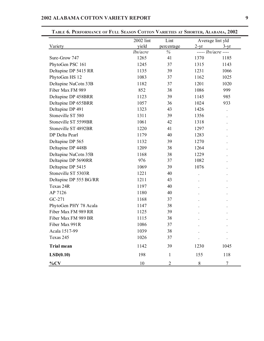|                        | 2002 lint | VANIETIES AT SHONTEN, TALABAMA, 2002<br>Lint | Average lint yld |                     |
|------------------------|-----------|----------------------------------------------|------------------|---------------------|
| Variety                | yield     | percentage                                   | $2-yr$           | $3-yr$              |
|                        | lbs/acre  | %                                            |                  | $---$ lbs/acre ---- |
| Sure-Grow 747          | 1265      | 41                                           | 1370             | 1185                |
| PhytoGen PSC 161       | 1245      | 37                                           | 1315             | 1143                |
| Deltapine DP 5415 RR   | 1135      | 39                                           | 1231             | 1066                |
| PhytoGen HS 12         | 1083      | 37                                           | 1162             | 1025                |
| Deltapine NuCotn 33B   | 1182      | 37                                           | 1201             | 1020                |
| Fiber Max FM 989       | 852       | 38                                           | 1086             | 999                 |
| Deltapine DP 458BRR    | 1123      | 39                                           | 1145             | 985                 |
| Deltapine DP 655BRR    | 1057      | 36                                           | 1024             | 933                 |
| Deltapine DP 491       | 1323      | 43                                           | 1426             |                     |
| Stoneville ST 580      | 1311      | 39                                           | 1356             |                     |
| Stoneville ST 5599BR   | 1061      | 42                                           | 1318             |                     |
| Stoneville ST 4892BR   | 1220      | 41                                           | 1297             |                     |
| DP Delta Pearl         | 1179      | 40                                           | 1283             |                     |
| Deltapine DP 565       | 1132      | 39                                           | 1270             |                     |
| Deltapine DP 448B      | 1209      | 38                                           | 1264             |                     |
| Deltapine NuCotn 35B   | 1168      | 38                                           | 1229             |                     |
| Deltapine DP 5690RR    | 976       | 37                                           | 1082             |                     |
| Deltapine DP 5415      | 1069      | 39                                           | 1076             |                     |
| Stoneville ST 5303R    | 1221      | 40                                           |                  |                     |
| Deltapine DP 555 BG/RR | 1211      | 43                                           |                  |                     |
| Texas 24R              | 1197      | 40                                           |                  |                     |
| AP 7126                | 1180      | 40                                           |                  |                     |
| $GC-271$               | 1168      | 37                                           |                  |                     |
| PhytoGen PHY 78 Acala  | 1147      | 38                                           |                  |                     |
| Fiber Max FM 989 RR    | 1125      | 39                                           |                  |                     |
| Fiber Max FM 989 BR    | 1115      | 38                                           |                  |                     |
| Fiber Max 991R         | 1086      | 37                                           |                  |                     |
| Acala 1517-99          | 1039      | 38                                           |                  |                     |
| Texas 245              | 1026      | 37                                           |                  |                     |
| <b>Trial mean</b>      | 1142      | 39                                           | 1230             | 1045                |
| LSD(0.10)              | 198       | $\mathbf{1}$                                 | 155              | 118                 |
| $\%CV$                 | 10        | 2                                            | 8                | 7                   |

**TABLE 6. PERFORMANCE OF FULL SEASON COTTON VARIETIES AT SHORTER, ALABAMA, 2002**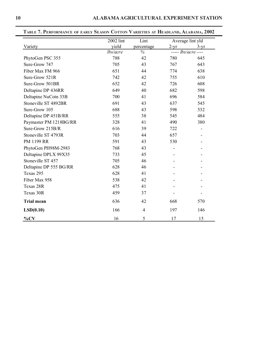|                        | 2002 lint | Lint           | Average lint yld |                     |
|------------------------|-----------|----------------|------------------|---------------------|
| Variety                | yield     | percentage     | $2-yr$           | $3 - yr$            |
|                        | lbs/acre  | $\frac{0}{6}$  |                  | $---$ lbs/acre ---- |
| PhytoGen PSC 355       | 788       | 42             | 780              | 645                 |
| Sure-Grow 747          | 705       | 43             | 767              | 643                 |
| Fiber Max FM 966       | 651       | 44             | 774              | 638                 |
| Sure-Grow 521R         | 742       | 42             | 755              | 610                 |
| Sure-Grow 501BR        | 652       | 42             | 726              | 608                 |
| Deltapine DP 436RR     | 649       | 40             | 682              | 598                 |
| Deltapine NuCotn 33B   | 700       | 41             | 696              | 584                 |
| Stoneville ST 4892BR   | 691       | 43             | 637              | 545                 |
| Sure-Grow 105          | 688       | 43             | 598              | 532                 |
| Deltapine DP 451B/RR   | 555       | 38             | 545              | 484                 |
| Paymaster PM 1218BG/RR | 328       | 41             | 490              | 380                 |
| Sure-Grow 215B/R       | 616       | 39             | 722              |                     |
| Stoneville ST 4793R    | 703       | 44             | 657              |                     |
| PM 1199 RR             | 591       | 43             | 530              |                     |
| PhytoGen PH98M-2983    | 768       | 43             |                  |                     |
| Deltapine DPLX 99X35   | 733       | 45             |                  |                     |
| Stoneville ST 457      | 705       | 46             |                  |                     |
| Deltapine DP 555 BG/RR | 628       | 46             |                  |                     |
| Texas 295              | 628       | 41             |                  |                     |
| Fiber Max 958          | 538       | 42             |                  |                     |
| Texas 28R              | 475       | 41             |                  |                     |
| Texas 30R              | 459       | 37             |                  |                     |
| <b>Trial mean</b>      | 636       | 42             | 668              | 570                 |
| LSD(0.10)              | 166       | $\overline{4}$ | 197              | 146                 |
| $\%CV$                 | 16        | 5              | 17               | 15                  |

**TABLE 7. PERFORMANCE OF EARLY SEASON COTTON VARIETIES AT HEADLAND, ALABAMA, 2002**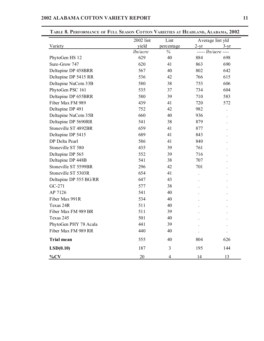|                        | 2002 lint | Lint       |        | Average lint yld    |
|------------------------|-----------|------------|--------|---------------------|
| Variety                | yield     | percentage | $2-yr$ | $3-yr$              |
|                        | lbs/acre  | $\%$       |        | $---$ lbs/acre ---- |
| PhytoGen HS 12         | 629       | 40         | 884    | 698                 |
| Sure-Grow 747          | 620       | 41         | 863    | 690                 |
| Deltapine DP 458BRR    | 567       | 40         | 802    | 642                 |
| Deltapine DP 5415 RR   | 536       | 42         | 766    | 615                 |
| Deltapine NuCotn 33B   | 580       | 38         | 753    | 606                 |
| PhytoGen PSC 161       | 535       | 37         | 734    | 604                 |
| Deltapine DP 655BRR    | 580       | 39         | 710    | 583                 |
| Fiber Max FM 989       | 439       | 41         | 720    | 572                 |
| Deltapine DP 491       | 752       | 42         | 982    |                     |
| Deltapine NuCotn 35B   | 660       | 40         | 936    |                     |
| Deltapine DP 5690RR    | 541       | 38         | 879    |                     |
| Stoneville ST 4892BR   | 659       | 41         | 877    |                     |
| Deltapine DP 5415      | 689       | 41         | 843    |                     |
| DP Delta Pearl         | 586       | 41         | 840    |                     |
| Stoneville ST 580      | 435       | 39         | 761    |                     |
| Deltapine DP 565       | 552       | 39         | 716    |                     |
| Deltapine DP 448B      | 541       | 38         | 707    |                     |
| Stoneville ST 5599BR   | 296       | 42         | 701    |                     |
| Stoneville ST 5303R    | 654       | 41         |        |                     |
| Deltapine DP 555 BG/RR | 647       | 43         |        |                     |
| GC-271                 | 577       | 38         |        |                     |
| AP 7126                | 541       | 40         |        |                     |
| Fiber Max 991R         | 534       | 40         |        |                     |
| Texas 24R              | 511       | 40         |        |                     |
| Fiber Max FM 989 BR    | 511       | 39         |        |                     |
| Texas 245              | 501       | 40         |        |                     |
| PhytoGen PHY 78 Acala  | 441       | 39         |        |                     |
| Fiber Max FM 989 RR    | 440       | 40         |        |                     |
| <b>Trial mean</b>      | 555       | 40         | 804    | 626                 |
| LSD(0.10)              | 187       | 3          | 195    | 144                 |
| $\%CV$                 | 20        | 4          | 14     | 13                  |

**TABLE 8. PERFORMANCE OF FULL SEASON COTTON VARIETIES AT HEADLAND, ALABAMA, 2002**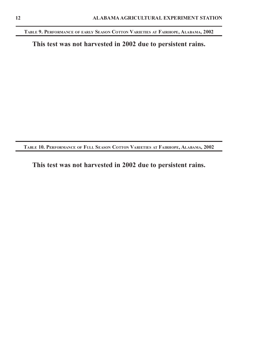**TABLE 9. PERFORMANCE OF EARLY SEASON COTTON VARIETIES AT FAIRHOPE, ALABAMA, 2002**

**This test was not harvested in 2002 due to persistent rains.**

**TABLE 10. PERFORMANCE OF FULL SEASON COTTON VARIETIES AT FAIRHOPE, ALABAMA, 2002**

**This test was not harvested in 2002 due to persistent rains.**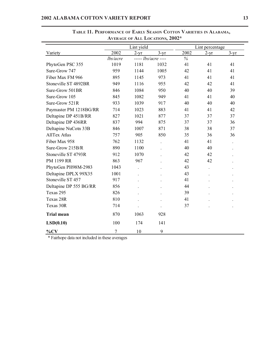|                        |          | Lint yield |                     |      | Lint percentage |        |
|------------------------|----------|------------|---------------------|------|-----------------|--------|
| Variety                | 2002     | $2-yr$     | $3-yr$              | 2002 | $2-yr$          | $3-yr$ |
|                        | lbs/acre |            | $---$ lbs/acre ---- | $\%$ |                 |        |
| PhytoGen PSC 355       | 1019     | 1181       | 1032                | 41   | 41              | 41     |
| Sure-Grow 747          | 959      | 1144       | 1005                | 42   | 41              | 41     |
| Fiber Max FM 966       | 895      | 1145       | 973                 | 41   | 41              | 41     |
| Stoneville ST 4892BR   | 949      | 1116       | 955                 | 42   | 42              | 41     |
| Sure-Grow 501BR        | 846      | 1084       | 950                 | 40   | 40              | 39     |
| Sure-Grow 105          | 845      | 1082       | 949                 | 41   | 41              | 40     |
| Sure-Grow 521R         | 933      | 1039       | 917                 | 40   | 40              | 40     |
| Paymaster PM 1218BG/RR | 714      | 1023       | 883                 | 41   | 41              | 42     |
| Deltapine DP 451B/RR   | 827      | 1021       | 877                 | 37   | 37              | 37     |
| Deltapine DP 436RR     | 837      | 994        | 875                 | 37   | 37              | 36     |
| Deltapine NuCotn 33B   | 846      | 1007       | 871                 | 38   | 38              | 37     |
| <b>AllTex Atlas</b>    | 757      | 905        | 850                 | 35   | 36              | 36     |
| Fiber Max 958          | 762      | 1132       |                     | 41   | 41              |        |
| Sure-Grow 215B/R       | 890      | 1100       |                     | 40   | 40              |        |
| Stoneville ST 4793R    | 912      | 1070       |                     | 42   | 42              |        |
| PM 1199 RR             | 863      | 967        |                     | 42   | 42              |        |
| PhytoGen PH98M-2983    | 1043     |            |                     | 43   |                 |        |
| Deltapine DPLX 99X35   | 1001     |            |                     | 43   |                 |        |
| Stoneville ST 457      | 917      |            |                     | 41   |                 |        |
| Deltapine DP 555 BG/RR | 856      |            |                     | 44   |                 |        |
| Texas 295              | 826      |            |                     | 39   |                 |        |
| Texas 28R              | 810      |            |                     | 41   |                 |        |
| Texas 30R              | 714      |            |                     | 37   |                 |        |
| <b>Trial mean</b>      | 870      | 1063       | 928                 |      |                 |        |
| LSD(0.10)              | 100      | 174        | 141                 |      |                 |        |
| $\%CV$                 | 7        | 10         | 9                   |      |                 |        |

### **TABLE 11. PERFORMANCE OF EARLY SEASON COTTON VARIETIES IN ALABAMA, AVERAGE OF ALL LOCATIONS, 2002\***

\* Fairhope data not included in these averages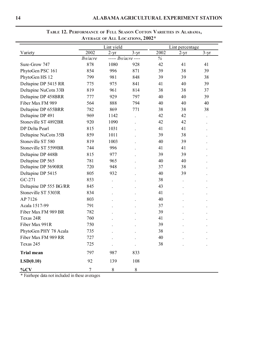|                        | AVERAGE OF ALL LOCATIONS, 2002" |                     |                      |      |                 |          |  |  |
|------------------------|---------------------------------|---------------------|----------------------|------|-----------------|----------|--|--|
|                        |                                 | Lint yield          |                      |      | Lint percentage |          |  |  |
| Variety                | 2002                            | $2 - yr$            | $3-yr$               | 2002 | $2-yr$          | $3 - yr$ |  |  |
|                        | lbs/acre                        | $---$ lbs/acre ---- |                      | $\%$ |                 |          |  |  |
| Sure-Grow 747          | 878                             | 1080                | 928                  | 42   | 41              | 41       |  |  |
| PhytoGen PSC 161       | 854                             | 996                 | 871                  | 39   | 38              | 39       |  |  |
| PhytoGen HS 12         | 799                             | 981                 | 848                  | 39   | 39              | 38       |  |  |
| Deltapine DP 5415 RR   | 775                             | 975                 | 841                  | 41   | 40              | 39       |  |  |
| Deltapine NuCotn 33B   | 819                             | 961                 | 814                  | 38   | 38              | 37       |  |  |
| Deltapine DP 458BRR    | 777                             | 929                 | 797                  | 40   | 40              | 39       |  |  |
| Fiber Max FM 989       | 564                             | 888                 | 794                  | 40   | 40              | 40       |  |  |
| Deltapine DP 655BRR    | 782                             | 869                 | 771                  | 38   | 38              | 38       |  |  |
| Deltapine DP 491       | 969                             | 1142                | $\ddot{\phantom{0}}$ | 42   | 42              |          |  |  |
| Stoneville ST 4892BR   | 920                             | 1090                |                      | 42   | 42              |          |  |  |
| DP Delta Pearl         | 815                             | 1031                |                      | 41   | 41              |          |  |  |
| Deltapine NuCotn 35B   | 859                             | 1011                |                      | 39   | 38              |          |  |  |
| Stoneville ST 580      | 819                             | 1003                |                      | 40   | 39              |          |  |  |
| Stoneville ST 5599BR   | 744                             | 996                 |                      | 41   | 41              |          |  |  |
| Deltapine DP 448B      | 815                             | 977                 |                      | 39   | 39              |          |  |  |
| Deltapine DP 565       | 781                             | 965                 |                      | 40   | 40              |          |  |  |
| Deltapine DP 5690RR    | 720                             | 948                 |                      | 37   | 38              |          |  |  |
| Deltapine DP 5415      | 805                             | 932                 |                      | 40   | 39              |          |  |  |
| GC-271                 | 853                             |                     |                      | 38   |                 |          |  |  |
| Deltapine DP 555 BG/RR | 845                             |                     |                      | 43   |                 |          |  |  |
| Stoneville ST 5303R    | 834                             |                     |                      | 41   |                 |          |  |  |
| AP 7126                | 803                             |                     |                      | 40   |                 |          |  |  |
| Acala 1517-99          | 791                             |                     |                      | 37   |                 |          |  |  |
| Fiber Max FM 989 BR    | 782                             |                     |                      | 39   |                 |          |  |  |
| Texas 24R              | 760                             |                     |                      | 41   |                 |          |  |  |
| Fiber Max 991R         | 750                             |                     |                      | 39   |                 |          |  |  |
| PhytoGen PHY 78 Acala  | 735                             |                     |                      | 38   |                 |          |  |  |
| Fiber Max FM 989 RR    | 727                             |                     |                      | 40   |                 |          |  |  |
| Texas 245              | 725                             |                     |                      | 38   |                 |          |  |  |
| <b>Trial mean</b>      | 797                             | 987                 | 833                  |      |                 |          |  |  |
| LSD(0.10)              | 92                              | 139                 | 108                  |      |                 |          |  |  |
| $\%CV$                 | $\tau$                          | $8\,$               | $8\,$                |      |                 |          |  |  |

**TABLE 12. PERFORMANCE OF FULL SEASON COTTON VARIETIES IN ALABAMA, AVERAGE OF ALL LOCATIONS, 2002\***

\* Fairhope data not included in these averages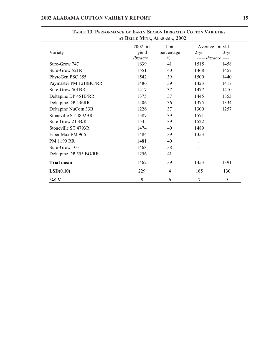| AI DELLE IVIIIVA, ALADAMA, 2002 |           |            |                     |                  |  |
|---------------------------------|-----------|------------|---------------------|------------------|--|
|                                 | 2002 lint | Lint       |                     | Average lint yld |  |
| Variety                         | yield     | percentage | $2-yr$              | $3-yr$           |  |
|                                 | lbs/acre  | $\%$       | $---$ lbs/acre ---- |                  |  |
| Sure-Grow 747                   | 1639      | 41         | 1515                | 1458             |  |
| Sure-Grow 521R                  | 1551      | 40         | 1468                | 1457             |  |
| PhytoGen PSC 355                | 1542      | 39         | 1500                | 1440             |  |
| Paymaster PM 1218BG/RR          | 1486      | 39         | 1423                | 1417             |  |
| Sure-Grow 501BR                 | 1417      | 37         | 1477                | 1410             |  |
| Deltapine DP 451B/RR            | 1375      | 37         | 1445                | 1353             |  |
| Deltapine DP 436RR              | 1406      | 36         | 1375                | 1334             |  |
| Deltapine NuCotn 33B            | 1226      | 37         | 1300                | 1257             |  |
| Stoneville ST 4892BR            | 1587      | 39         | 1571                |                  |  |
| Sure-Grow 215B/R                | 1545      | 39         | 1522                |                  |  |
| Stoneville ST 4793R             | 1474      | 40         | 1489                |                  |  |
| Fiber Max FM 966                | 1484      | 39         | 1353                |                  |  |
| PM 1199 RR                      | 1481      | 40         |                     |                  |  |
| Sure-Grow 105                   | 1468      | 38         |                     |                  |  |
| Deltapine DP 555 BG/RR          | 1256      | 41         |                     |                  |  |
| <b>Trial mean</b>               | 1462      | 39         | 1453                | 1391             |  |
| LSD(0.10)                       | 229       | 4          | 165                 | 130              |  |
| $\%CV$                          | 9         | 6          | 7                   | 5                |  |

**TABLE 13. PERFORMANCE OF EARLY SEASON IRRIGATED COTTON VARIETIES AT BELLE MINA, ALABAMA, 2002**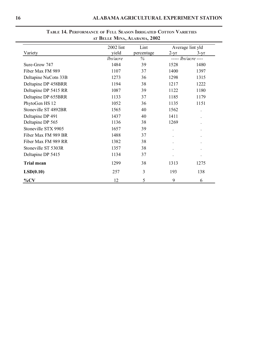|                      | $\mathbf{A}$ Deceme Minta, Acadama, 2002 |            |                      |                     |
|----------------------|------------------------------------------|------------|----------------------|---------------------|
|                      | 2002 lint                                | Lint       |                      | Average lint yld    |
| Variety              | yield                                    | percentage | $2-yr$               | $3-yr$              |
|                      | lbs/acre                                 | $\%$       |                      | $---$ lbs/acre ---- |
| Sure-Grow 747        | 1484                                     | 39         | 1528                 | 1480                |
| Fiber Max FM 989     | 1107                                     | 37         | 1400                 | 1397                |
| Deltapine NuCotn 33B | 1273                                     | 36         | 1298                 | 1315                |
| Deltapine DP 458BRR  | 1194                                     | 38         | 1217                 | 1222                |
| Deltapine DP 5415 RR | 1087                                     | 39         | 1122                 | 1180                |
| Deltapine DP 655BRR  | 1133                                     | 37         | 1185                 | 1179                |
| PhytoGen HS 12       | 1052                                     | 36         | 1135                 | 1151                |
| Stoneville ST 4892BR | 1565                                     | 40         | 1562                 |                     |
| Deltapine DP 491     | 1437                                     | 40         | 1411                 |                     |
| Deltapine DP 565     | 1136                                     | 38         | 1269                 |                     |
| Stoneville STX 9905  | 1657                                     | 39         |                      |                     |
| Fiber Max FM 989 BR  | 1488                                     | 37         |                      |                     |
| Fiber Max FM 989 RR  | 1382                                     | 38         |                      |                     |
| Stoneville ST 5303R  | 1357                                     | 38         |                      |                     |
| Deltapine DP 5415    | 1134                                     | 37         | $\ddot{\phantom{0}}$ | $\bullet$           |
| <b>Trial mean</b>    | 1299                                     | 38         | 1313                 | 1275                |
| LSD(0.10)            | 257                                      | 3          | 193                  | 138                 |
| $\%CV$               | 12                                       | 5          | 9                    | 6                   |

## **TABLE 14. PERFORMANCE OF FULL SEASON IRRIGATED COTTON VARIETIES AT BELLE MINA, ALABAMA, 2002**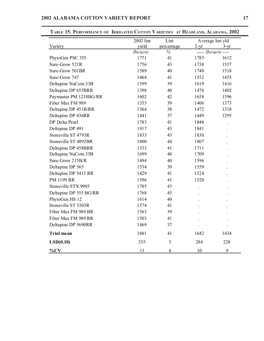| <b>I ENFUNDIANCE OF</b> | 2002 lint | INNIGATED COTTON VANIETIES AT ITEADLAND, ALADAMA, 2002<br>Lint |        | Average lint yld    |
|-------------------------|-----------|----------------------------------------------------------------|--------|---------------------|
| Variety                 | yield     | percentage                                                     | $2-yr$ | $3-yr$              |
|                         | lbs/acre  | $\%$                                                           |        | $---$ lbs/acre ---- |
| PhytoGen PSC 355        | 1771      | 41                                                             | 1783   | 1612                |
| Sure-Grow 521R          | 1756      | 43                                                             | 1738   | 1557                |
| Sure-Grow 501BR         | 1589      | 40                                                             | 1740   | 1518                |
| Sure-Grow 747           | 1464      | 41                                                             | 1552   | 1455                |
| Deltapine NuCotn 33B    | 1599      | 39                                                             | 1619   | 1416                |
| Deltapine DP 655BRR     | 1398      | 40                                                             | 1476   | 1402                |
| Paymaster PM 1218BG/RR  | 1602      | 42                                                             | 1658   | 1396                |
| Fiber Max FM 989        | 1353      | 39                                                             | 1406   | 1373                |
| Deltapine DP 451B/RR    | 1364      | 38                                                             | 1472   | 1318                |
| Deltapine DP 436RR      | 1441      | 37                                                             | 1449   | 1295                |
| DP Delta Pearl          | 1783      | 41                                                             | 1848   |                     |
| Deltapine DP 491        | 1917      | 43                                                             | 1841   |                     |
| Stoneville ST 4793R     | 1833      | 43                                                             | 1830   |                     |
| Stoneville ST 4892BR    | 1800      | 44                                                             | 1807   |                     |
| Deltapine DP 458BRR     | 1533      | 41                                                             | 1711   |                     |
| Deltapine NuCotn 35B    | 1699      | 40                                                             | 1709   |                     |
| Sure-Grow 215B/R        | 1494      | 40                                                             | 1596   |                     |
| Deltapine DP 565        | 1534      | 39                                                             | 1559   |                     |
| Deltapine DP 5415 RR    | 1429      | 41                                                             | 1524   |                     |
| <b>PM 1199 RR</b>       | 1596      | 41                                                             | 1520   |                     |
| Stoneville STX 9905     | 1785      | 43                                                             |        |                     |
| Deltapine DP 555 BG/RR  | 1768      | 45                                                             |        |                     |
| PhytoGen HS 12          | 1614      | 40                                                             |        |                     |
| Stoneville ST 5303R     | 1574      | 41                                                             |        |                     |
| Fiber Max FM 989 BR     | 1563      | 39                                                             |        |                     |
| Fiber Max FM 989 RR     | 1503      | 41                                                             |        |                     |
| Deltapine DP 5690RR     | 1469      | 37                                                             |        |                     |
| <b>Trial mean</b>       | 1601      | 41                                                             | 1642   | 1434                |
| LSD(0.10)               | 335       | 3                                                              | 284    | 228                 |
| $\%CV$                  | 13        | $\overline{4}$                                                 | 10     | 9                   |

**TABLE 15. PERFORMANCE OF IRRIGATED COTTON VARIETIES AT HEADLAND, ALABAMA, 2002**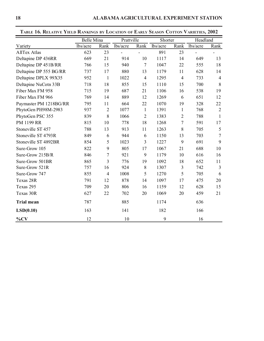| <b>TABLE TO. RELATIVE TIELD KANKINGS BY LOCATION OF EARLY SEASON COTTON VARIETIES, 2002</b> |                   |                |            |                |          |                |          |                |
|---------------------------------------------------------------------------------------------|-------------------|----------------|------------|----------------|----------|----------------|----------|----------------|
|                                                                                             | <b>Belle Mina</b> |                | Prattville |                | Shorter  |                | Headland |                |
| Variety                                                                                     | lbs/acre          | Rank           | lbs/acre   | Rank           | lbs/acre | Rank           | lbs/acre | Rank           |
| <b>AllTex Atlas</b>                                                                         | 623               | 23             |            |                | 891      | 23             |          |                |
| Deltapine DP 436RR                                                                          | 669               | 21             | 914        | 10             | 1117     | 14             | 649      | 13             |
| Deltapine DP 451B/RR                                                                        | 766               | 15             | 940        | $\overline{7}$ | 1047     | 22             | 555      | 18             |
| Deltapine DP 555 BG/RR                                                                      | 737               | 17             | 880        | 13             | 1179     | 11             | 628      | 14             |
| Deltapine DPLX 99X35                                                                        | 952               | $\mathbf{1}$   | 1022       | $\overline{4}$ | 1295     | $\overline{4}$ | 733      | $\overline{4}$ |
| Deltapine NuCotn 33B                                                                        | 718               | 18             | 855        | 15             | 1110     | 15             | 700      | $\,8\,$        |
| Fiber Max FM 958                                                                            | 715               | 19             | 687        | 21             | 1106     | 16             | 538      | 19             |
| Fiber Max FM 966                                                                            | 769               | 14             | 889        | 12             | 1269     | 6              | 651      | 12             |
| Paymaster PM 1218BG/RR                                                                      | 795               | 11             | 664        | 22             | 1070     | 19             | 328      | 22             |
| PhytoGen PH98M-2983                                                                         | 937               | $\overline{2}$ | 1077       | $\mathbf{1}$   | 1391     | $\mathbf{1}$   | 768      | $\overline{2}$ |
| PhytoGen PSC 355                                                                            | 839               | 8              | 1066       | $\overline{2}$ | 1383     | $\mathbf{2}$   | 788      | $\mathbf{1}$   |
| PM 1199 RR                                                                                  | 815               | 10             | 778        | 18             | 1268     | 7              | 591      | 17             |
| Stoneville ST 457                                                                           | 788               | 13             | 913        | 11             | 1263     | 8              | 705      | 5              |
| Stoneville ST 4793R                                                                         | 849               | 6              | 944        | 6              | 1150     | 13             | 703      | $\overline{7}$ |
| Stoneville ST 4892BR                                                                        | 854               | 5              | 1023       | 3              | 1227     | 9              | 691      | 9              |
| Sure-Grow 105                                                                               | 822               | 9              | 805        | 17             | 1067     | 21             | 688      | 10             |
| Sure-Grow 215B/R                                                                            | 846               | $\overline{7}$ | 921        | 9              | 1179     | 10             | 616      | 16             |
| Sure-Grow 501BR                                                                             | 865               | 3              | 776        | 19             | 1092     | 18             | 652      | 11             |
| Sure-Grow 521R                                                                              | 757               | 16             | 924        | 8              | 1307     | 3              | 742      | 3              |
| Sure-Grow 747                                                                               | 855               | $\overline{4}$ | 1008       | 5              | 1270     | 5              | 705      | 6              |
| Texas 28R                                                                                   | 791               | 12             | 878        | 14             | 1097     | 17             | 475      | 20             |
| Texas 295                                                                                   | 709               | 20             | 806        | 16             | 1159     | 12             | 628      | 15             |
| Texas 30R                                                                                   | 627               | 22             | 702        | 20             | 1069     | 20             | 459      | 21             |
| <b>Trial mean</b>                                                                           | 787               |                | 885        |                | 1174     |                | 636      |                |
| LSD(0.10)                                                                                   | 163               |                | 141        |                | 182      |                | 166      |                |
| $\%CV$                                                                                      | 12                |                | 10         |                | 9        |                | 16       |                |

**TABLE 16. RELATIVE YIELD RANKINGS BY LOCATION OF EARLY SEASON COTTON VARIETIES, 2002**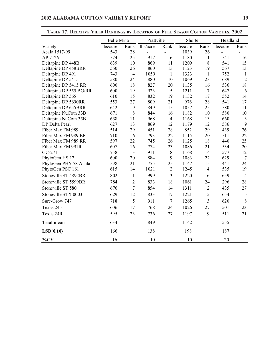|                        | <b>Belle Mina</b> |                | Prattville |                          | Shorter  |                | Headland |                |
|------------------------|-------------------|----------------|------------|--------------------------|----------|----------------|----------|----------------|
| Variety                | lbs/acre          | Rank           | lbs/acre   | Rank                     | lbs/acre | Rank           | lbs/acre | Rank           |
| Acala 1517-99          | 543               | 28             |            | $\overline{\phantom{a}}$ | 1039     | 26             |          |                |
| AP 7126                | 574               | 25             | 917        | 6                        | 1180     | 11             | 541      | 16             |
| Deltapine DP 448B      | 639               | 10             | 869        | 11                       | 1209     | 8              | 541      | 15             |
| Deltapine DP 458BRR    | 560               | 26             | 860        | 13                       | 1123     | 19             | 567      | 13             |
| Deltapine DP 491       | 743               | $\overline{4}$ | 1059       | $\mathbf{1}$             | 1323     | $\mathbf{1}$   | 752      | $\mathbf{1}$   |
| Deltapine DP 5415      | 580               | 24             | 880        | 10                       | 1069     | 23             | 689      | $\overline{2}$ |
| Deltapine DP 5415 RR   | 600               | 18             | 827        | 20                       | 1135     | 16             | 536      | 18             |
| Deltapine DP 555 BG/RR | 600               | 19             | 923        | 5                        | 1211     | $\overline{7}$ | 647      | 6              |
| Deltapine DP 565       | 610               | 15             | 832        | 19                       | 1132     | 17             | 552      | 14             |
| Deltapine DP 5690RR    | 553               | 27             | 809        | 21                       | 976      | 28             | 541      | 17             |
| Deltapine DP 655BRR    | 642               | 9              | 849        | 15                       | 1057     | 25             | 580      | 11             |
| Deltapine NuCotn 33B   | 671               | $\,$ $\,$      | 844        | 16                       | 1182     | 10             | 580      | 10             |
| Deltapine NuCotn 35B   | 638               | 11             | 968        | $\overline{4}$           | 1168     | 13             | 660      | $\overline{3}$ |
| DP Delta Pearl         | 627               | 13             | 869        | 12                       | 1179     | 12             | 586      | 9              |
| Fiber Max FM 989       | 514               | 29             | 451        | 28                       | 852      | 29             | 439      | 26             |
| Fiber Max FM 989 BR    | 710               | 6              | 793        | 22                       | 1115     | 20             | 511      | 22             |
| Fiber Max FM 989 RR    | 597               | 22             | 745        | 26                       | 1125     | 18             | 440      | 25             |
| Fiber Max FM 991R      | 607               | 16             | 774        | 23                       | 1086     | 21             | 534      | 20             |
| $GC-271$               | 758               | 3              | 911        | 8                        | 1168     | 14             | 577      | 12             |
| PhytoGen HS 12         | 600               | 20             | 884        | 9                        | 1083     | 22             | 629      | $\overline{7}$ |
| PhytoGen PHY 78 Acala  | 598               | 21             | 755        | 25                       | 1147     | 15             | 441      | 24             |
| PhytoGen PSC 161       | 615               | 14             | 1021       | $\overline{2}$           | 1245     | $\overline{4}$ | 535      | 19             |
| Stoneville ST 4892BR   | 802               | $\mathbf{1}$   | 999        | 3                        | 1220     | 6              | 659      | $\overline{4}$ |
| Stoneville ST 5599BR   | 784               | $\overline{2}$ | 833        | 18                       | 1061     | 24             | 296      | 28             |
| Stoneville ST 580      | 676               | $\overline{7}$ | 854        | 14                       | 1311     | $\overline{2}$ | 435      | 27             |
| Stoneville STX 0003    | 629               | 12             | 833        | 17                       | 1221     | 5              | 654      | 5              |
| Sure-Grow 747          | 718               | 5              | 911        | $\tau$                   | 1265     | 3              | 620      | 8              |
| Texas 245              | 606               | 17             | 768        | 24                       | 1026     | 27             | 501      | 23             |
| Texas 24R              | 595               | 23             | 736        | 27                       | 1197     | 9              | 511      | 21             |
| <b>Trial mean</b>      | 634               |                | 849        |                          | 1142     |                | 555      |                |
| LSD(0.10)              | 166               |                | 138        |                          | 198      |                | 187      |                |
| $\%CV$                 | 16                |                | 10         |                          | 10       |                | 20       |                |

**TABLE 17. RELATIVE YIELD RANKINGS BY LOCATION OF FULL SEASON COTTON VARIETIES, 2002**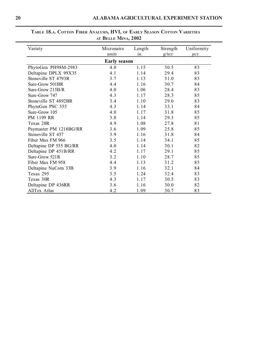| Variety                | Micronaire          | Length | Strength | Uniformity |
|------------------------|---------------------|--------|----------|------------|
|                        | units               | in.    | $g$ /tex | pct.       |
|                        | <b>Early season</b> |        |          |            |
| PhytoGen PH98M-2983    | 4.0                 | 1.15   | 30.5     | 83         |
| Deltapine DPLX 99X35   | 4.1                 | 1.14   | 29.4     | 83         |
| Stoneville ST 4793R    | 3.7                 | 1.13   | 31.0     | 83         |
| Sure-Grow 501BR        | 4.4                 | 1.16   | 30.7     | 84         |
| Sure-Grow 215B/R       | 4.0                 | 1.06   | 28.4     | 83         |
| Sure-Grow 747          | 4.3                 | 1.17   | 28.3     | 85         |
| Stoneville ST 4892BR   | 3.4                 | 1.10   | 29.0     | 83         |
| PhytoGen PSC 355       | 4.3                 | 1.14   | 33.1     | 84         |
| Sure-Grow 105          | 4.0                 | 1.17   | 31.8     | 85         |
| PM 1199 RR             | 3.8                 | 1.14   | 29.3     | 85         |
| Texas 28R              | 4.9                 | 1.08   | 27.8     | 81         |
| Paymaster PM 1218BG/RR | 3.6                 | 1.09   | 25.8     | 85         |
| Stoneville ST 457      | 3.9                 | 1.16   | 31.8     | 84         |
| Fiber Max FM 966       | 3.5                 | 1.14   | 34.1     | 85         |
| Deltapine DP 555 BG/RR | 4.0                 | 1.14   | 30.1     | 82         |
| Deltapine DP 451B/RR   | 4.2                 | 1.17   | 29.1     | 85         |
| Sure-Grow 521R         | 3.2                 | 1.10   | 28.7     | 85         |
| Fiber Max FM 958       | 4.4                 | 1.13   | 31.2     | 85         |
| Deltapine NuCotn 33B   | 3.9                 | 1.16   | 32.1     | 84         |
| Texas 295              | 3.5                 | 1.24   | 32.4     | 83         |
| Texas 30R              | 4.3                 | 1.17   | 30.5     | 83         |
| Deltapine DP 436RR     | 3.6                 | 1.16   | 30.0     | 82         |
| AllTex Atlas           | 4.2                 | 1.09   | 30.7     | 83         |

## **TABLE 18.A. COTTON FIBER ANALYSIS, HVI, OF EARLY SEASON COTTON VARIETIES AT BELLE MINA, 2002**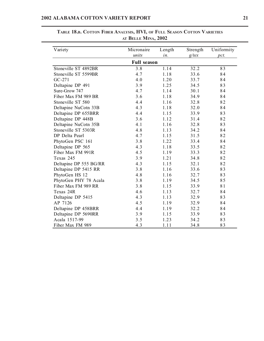| Variety                | Micronaire         | Length | Strength | Uniformity |
|------------------------|--------------------|--------|----------|------------|
|                        | units              | in.    | $g$ /tex | pct.       |
|                        | <b>Full season</b> |        |          |            |
| Stoneville ST 4892BR   | 3.8                | 1.14   | 32.2     | 83         |
| Stoneville ST 5599BR   | 4.7                | 1.18   | 33.6     | 84         |
| $GC-271$               | 4.0                | 1.20   | 33.7     | 84         |
| Deltapine DP 491       | 3.9                | 1.25   | 34.5     | 83         |
| Sure-Grow 747          | 4.7                | 1.14   | 30.1     | 84         |
| Fiber Max FM 989 BR    | 3.6                | 1.18   | 34.9     | 84         |
| Stoneville ST 580      | 4.4                | 1.16   | 32.8     | 82         |
| Deltapine NuCotn 33B   | 4.3                | 1.18   | 32.0     | 84         |
| Deltapine DP 655BRR    | 4.4                | 1.15   | 33.9     | 83         |
| Deltapine DP 448B      | 3.6                | 1.12   | 31.4     | 82         |
| Deltapine NuCotn 35B   | 4.1                | 1.16   | 32.8     | 83         |
| Stoneville ST 5303R    | 4.8                | 1.13   | 34.2     | 84         |
| DP Delta Pearl         | 4.7                | 1.15   | 31.5     | 82         |
| PhytoGen PSC 161       | 3.8                | 1.22   | 33.4     | 84         |
| Deltapine DP 565       | 4.3                | 1.18   | 33.5     | 82         |
| Fiber Max FM 991R      | 4.5                | 1.19   | 33.3     | 82         |
| Texas 245              | 3.9                | 1.21   | 34.8     | 82         |
| Deltapine DP 555 BG/RR | 4.3                | 1.15   | 32.1     | 82         |
| Deltapine DP 5415 RR   | 3.8                | 1.16   | 33.6     | 83         |
| PhytoGen HS 12         | 4.8                | 1.16   | 32.7     | 83         |
| PhytoGen PHY 78 Acala  | 3.8                | 1.19   | 34.5     | 85         |
| Fiber Max FM 989 RR    | 3.8                | 1.15   | 33.9     | 81         |
| Texas 24R              | 4.6                | 1.13   | 32.7     | 84         |
| Deltapine DP 5415      | 4.3                | 1.13   | 32.9     | 83         |
| AP 7126                | 4.5                | 1.19   | 32.9     | 84         |
| Deltapine DP 458BRR    | 4.4                | 1.19   | 32.2     | 84         |
| Deltapine DP 5690RR    | 3.9                | 1.15   | 33.9     | 83         |
| Acala 1517-99          | 3.5                | 1.23   | 34.2     | 83         |
| Fiber Max FM 989       | 4.3                | 1.11   | 34.8     | 83         |

# **TABLE 18.B. COTTON FIBER ANALYSIS, HVI, OF FULL SEASON COTTON VARIETIES AT BELLE MINA, 2002**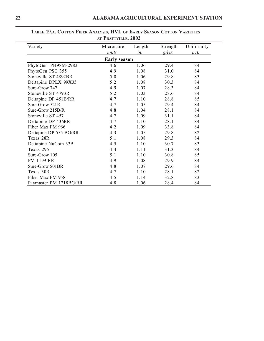| Variety                | Micronaire<br>units | Length<br>in. | Strength<br>$g$ /tex | Uniformity<br>pct. |  |  |  |  |
|------------------------|---------------------|---------------|----------------------|--------------------|--|--|--|--|
| <b>Early season</b>    |                     |               |                      |                    |  |  |  |  |
| PhytoGen PH98M-2983    | 4.6                 | 1.06          | 29.4                 | 84                 |  |  |  |  |
| PhytoGen PSC 355       | 4.9                 | 1.08          | 31.0                 | 84                 |  |  |  |  |
| Stoneville ST 4892BR   | 5.0                 | 1.06          | 29.8                 | 83                 |  |  |  |  |
| Deltapine DPLX 99X35   | 5.2                 | 1.08          | 30.3                 | 84                 |  |  |  |  |
| Sure-Grow 747          | 4.9                 | 1.07          | 28.3                 | 84                 |  |  |  |  |
| Stoneville ST 4793R    | 5.2                 | 1.03          | 28.6                 | 84                 |  |  |  |  |
| Deltapine DP 451B/RR   | 4.7                 | 1.10          | 28.8                 | 85                 |  |  |  |  |
| Sure-Grow 521R         | 4.7                 | 1.05          | 29.4                 | 84                 |  |  |  |  |
| Sure-Grow 215B/R       | 4.8                 | 1.04          | 28.1                 | 84                 |  |  |  |  |
| Stoneville ST 457      | 4.7                 | 1.09          | 31.1                 | 84                 |  |  |  |  |
| Deltapine DP 436RR     | 4.7                 | 1.10          | 28.1                 | 84                 |  |  |  |  |
| Fiber Max FM 966       | 4.2                 | 1.09          | 33.8                 | 84                 |  |  |  |  |
| Deltapine DP 555 BG/RR | 4.3                 | 1.05          | 29.8                 | 82                 |  |  |  |  |
| Texas 28R              | 5.1                 | 1.08          | 29.3                 | 84                 |  |  |  |  |
| Deltapine NuCotn 33B   | 4.5                 | 1.10          | 30.7                 | 83                 |  |  |  |  |
| Texas 295              | 4.4                 | 1.11          | 31.3                 | 84                 |  |  |  |  |
| Sure-Grow 105          | 5.1                 | 1.10          | 30.8                 | 85                 |  |  |  |  |
| PM 1199 RR             | 4.9                 | 1.08          | 29.9                 | 84                 |  |  |  |  |
| Sure-Grow 501BR        | 4.8                 | 1.07          | 29.6                 | 84                 |  |  |  |  |
| Texas 30R              | 4.7                 | 1.10          | 28.1                 | 82                 |  |  |  |  |
| Fiber Max FM 958       | 4.5                 | 1.14          | 32.8                 | 83                 |  |  |  |  |
| Paymaster PM 1218BG/RR | 4.8                 | 1.06          | 28.4                 | 84                 |  |  |  |  |

## **TABLE 19.A. COTTON FIBER ANALYSIS, HVI, OF EARLY SEASON COTTON VARIETIES AT PRATTVILLE, 2002**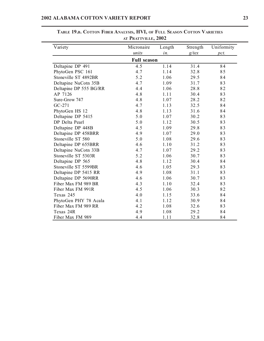| Variety                | Micronaire | Length | Strength | Uniformity |  |  |  |  |
|------------------------|------------|--------|----------|------------|--|--|--|--|
|                        | units      | in.    | $g$ /tex | pct.       |  |  |  |  |
| <b>Full season</b>     |            |        |          |            |  |  |  |  |
| Deltapine DP 491       | 4.5        | 1.14   | 31.4     | 84         |  |  |  |  |
| PhytoGen PSC 161       | 4.7        | 1.14   | 32.8     | 85         |  |  |  |  |
| Stoneville ST 4892BR   | 5.2        | 1.06   | 29.5     | 84         |  |  |  |  |
| Deltapine NuCotn 35B   | 4.7        | 1.09   | 31.7     | 83         |  |  |  |  |
| Deltapine DP 555 BG/RR | 4.4        | 1.06   | 28.8     | 82         |  |  |  |  |
| AP 7126                | 4.8        | 1.11   | 30.4     | 83         |  |  |  |  |
| Sure-Grow 747          | 4.8        | 1.07   | 28.2     | 82         |  |  |  |  |
| GC-271                 | 4.7        | 1.13   | 32.5     | 84         |  |  |  |  |
| PhytoGen HS 12         | 4.8        | 1.13   | 31.6     | 84         |  |  |  |  |
| Deltapine DP 5415      | 5.0        | 1.07   | 30.2     | 83         |  |  |  |  |
| DP Delta Pearl         | 5.0        | 1.12   | 30.5     | 83         |  |  |  |  |
| Deltapine DP 448B      | 4.5        | 1.09   | 29.8     | 83         |  |  |  |  |
| Deltapine DP 458BRR    | 4.9        | 1.07   | 29.0     | 83         |  |  |  |  |
| Stoneville ST 580      | 5.0        | 1.08   | 29.6     | 83         |  |  |  |  |
| Deltapine DP 655BRR    | 4.6        | 1.10   | 31.2     | 83         |  |  |  |  |
| Deltapine NuCotn 33B   | 4.7        | 1.07   | 29.2     | 83         |  |  |  |  |
| Stoneville ST 5303R    | 5.2        | 1.06   | 30.7     | 83         |  |  |  |  |
| Deltapine DP 565       | 4.8        | 1.12   | 30.4     | 84         |  |  |  |  |
| Stoneville ST 5599BR   | 4.6        | 1.05   | 29.3     | 83         |  |  |  |  |
| Deltapine DP 5415 RR   | 4.9        | 1.08   | 31.1     | 83         |  |  |  |  |
| Deltapine DP 5690RR    | 4.6        | 1.06   | 30.7     | 83         |  |  |  |  |
| Fiber Max FM 989 BR    | 4.3        | 1.10   | 32.4     | 83         |  |  |  |  |
| Fiber Max FM 991R      | 4.5        | 1.06   | 30.3     | 82         |  |  |  |  |
| Texas 245              | 4.0        | 1.15   | 33.6     | 84         |  |  |  |  |
| PhytoGen PHY 78 Acala  | 4.1        | 1.12   | 30.9     | 84         |  |  |  |  |
| Fiber Max FM 989 RR    | 4.2        | 1.08   | 32.6     | 83         |  |  |  |  |
| Texas 24R              | 4.9        | 1.08   | 29.2     | 84         |  |  |  |  |
| Fiber Max FM 989       | 4.4        | 1.11   | 32.8     | 84         |  |  |  |  |

**TABLE 19.B. COTTON FIBER ANALYSIS, HVI, OF FULL SEASON COTTON VARIETIES AT PRATTVILLE, 2002**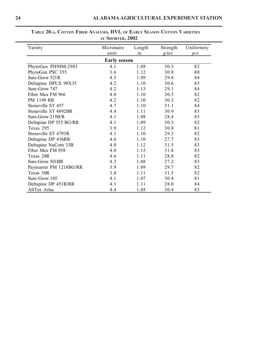| Variety                | Micronaire<br>units | Length<br>in. | Strength<br>$g$ /tex | Uniformity<br>pct. |  |  |  |  |
|------------------------|---------------------|---------------|----------------------|--------------------|--|--|--|--|
| <b>Early season</b>    |                     |               |                      |                    |  |  |  |  |
| PhytoGen PH98M-2983    | 4.1                 | 1.08          | 30.3                 | 82                 |  |  |  |  |
| PhytoGen PSC 355       | 3.6                 | 1.12          | 30.8                 | 80                 |  |  |  |  |
| Sure-Grow 521R         | 4.3                 | 1.09          | 29.6                 | 84                 |  |  |  |  |
| Deltapine DPLX 99X35   | 4.2                 | 1.10          | 30.6                 | 83                 |  |  |  |  |
| Sure-Grow 747          | 4.2                 | 1.13          | 29.1                 | 84                 |  |  |  |  |
| Fiber Max FM 966       | 4.0                 | 1.10          | 30.5                 | 82                 |  |  |  |  |
| PM 1199 RR             | 4.2                 | 1.10          | 30.3                 | 82                 |  |  |  |  |
| Stoneville ST 457      | 4.7                 | 1.10          | 31.1                 | 84                 |  |  |  |  |
| Stoneville ST 4892BR   | 4.4                 | 1.11          | 30.9                 | 83                 |  |  |  |  |
| Sure-Grow 215B/R       | 4.1                 | 1.08          | 28.4                 | 83                 |  |  |  |  |
| Deltapine DP 555 BG/RR | 4.1                 | 1.09          | 30.3                 | 82                 |  |  |  |  |
| Texas 295              | 3.9                 | 1.12          | 30.8                 | 81                 |  |  |  |  |
| Stoneville ST 4793R    | 4.1                 | 1.10          | 29.3                 | 82                 |  |  |  |  |
| Deltapine DP 436RR     | 4.6                 | 1.10          | 27.7                 | 83                 |  |  |  |  |
| Deltapine NuCotn 33B   | 4.0                 | 1.12          | 31.5                 | 83                 |  |  |  |  |
| Fiber Max FM 958       | 4.0                 | 1.15          | 31.8                 | 83                 |  |  |  |  |
| Texas 28R              | 4.6                 | 1.11          | 28.8                 | 82                 |  |  |  |  |
| Sure-Grow 501BR        | 4.3                 | 1.08          | 27.2                 | 83                 |  |  |  |  |
| Paymaster PM 1218BG/RR | 3.9                 | 1.09          | 29.7                 | 82                 |  |  |  |  |
| Texas 30R              | 3.8                 | 1.11          | 31.5                 | 82                 |  |  |  |  |
| Sure-Grow 105          | 4.1                 | 1.07          | 30.4                 | 81                 |  |  |  |  |
| Deltapine DP 451B/RR   | 4.1                 | 1.11          | 28.0                 | 84                 |  |  |  |  |
| AllTex Atlas           | 4.4                 | 1.05          | 30.4                 | 83                 |  |  |  |  |

**TABLE 20.A. COTTON FIBER ANALYSIS, HVI, OF EARLY SEASON COTTON VARIETIES AT SHORTER, 2002**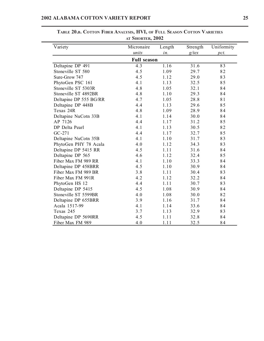| Variety                | Micronaire | Length | Strength | Uniformity |  |  |  |
|------------------------|------------|--------|----------|------------|--|--|--|
|                        | units      | in.    | $g$ /tex | pct.       |  |  |  |
| <b>Full season</b>     |            |        |          |            |  |  |  |
| Deltapine DP 491       | 4.3        | 1.16   | 31.6     | 83         |  |  |  |
| Stoneville ST 580      | 4.5        | 1.09   | 29.7     | 82         |  |  |  |
| Sure-Grow 747          | 4.5        | 1.12   | 29.0     | 83         |  |  |  |
| PhytoGen PSC 161       | 4.1        | 1.13   | 32.5     | 85         |  |  |  |
| Stoneville ST 5303R    | 4.8        | 1.05   | 32.1     | 84         |  |  |  |
| Stoneville ST 4892BR   | 4.8        | 1.10   | 29.3     | 84         |  |  |  |
| Deltapine DP 555 BG/RR | 4.7        | 1.05   | 28.8     | 81         |  |  |  |
| Deltapine DP 448B      | 4.4        | 1.13   | 29.6     | 85         |  |  |  |
| Texas 24R              | 4.8        | 1.09   | 28.9     | 84         |  |  |  |
| Deltapine NuCotn 33B   | 4.1        | 1.14   | 30.0     | 84         |  |  |  |
| AP 7126                | 4.4        | 1.17   | 31.2     | 85         |  |  |  |
| DP Delta Pearl         | 4.1        | 1.13   | 30.5     | 82         |  |  |  |
| GC-271                 | 4.4        | 1.17   | 32.7     | 85         |  |  |  |
| Deltapine NuCotn 35B   | 4.1        | 1.10   | 31.7     | 83         |  |  |  |
| PhytoGen PHY 78 Acala  | 4.0        | 1.12   | 34.3     | 83         |  |  |  |
| Deltapine DP 5415 RR   | 4.5        | 1.11   | 31.6     | 84         |  |  |  |
| Deltapine DP 565       | 4.6        | 1.12   | 32.4     | 85         |  |  |  |
| Fiber Max FM 989 RR    | 4.1        | 1.10   | 33.3     | 84         |  |  |  |
| Deltapine DP 458BRR    | 4.5        | 1.10   | 30.9     | 84         |  |  |  |
| Fiber Max FM 989 BR    | 3.8        | 1.11   | 30.4     | 83         |  |  |  |
| Fiber Max FM 991R      | 4.2        | 1.12   | 32.2     | 84         |  |  |  |
| PhytoGen HS 12         | 4.4        | 1.11   | 30.7     | 83         |  |  |  |
| Deltapine DP 5415      | 4.5        | 1.08   | 30.9     | 84         |  |  |  |
| Stoneville ST 5599BR   | 4.0        | 1.08   | 30.0     | 82         |  |  |  |
| Deltapine DP 655BRR    | 3.9        | 1.16   | 31.7     | 84         |  |  |  |
| Acala 1517-99          | 4.1        | 1.14   | 33.6     | 84         |  |  |  |
| Texas 245              | 3.7        | 1.13   | 32.9     | 83         |  |  |  |
| Deltapine DP 5690RR    | 4.5        | 1.11   | 32.8     | 84         |  |  |  |
| Fiber Max FM 989       | 4.0        | 1.11   | 32.5     | 84         |  |  |  |

**TABLE 20.B. COTTON FIBER ANALYSIS, HVI, OF FULL SEASON COTTON VARIETIES AT SHORTER, 2002**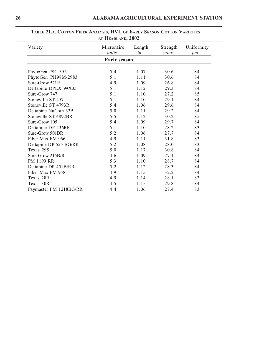| Variety                | Micronaire          | Length | Strength | Uniformity |
|------------------------|---------------------|--------|----------|------------|
|                        | units               | in.    | $g$ /tex | pct.       |
|                        | <b>Early season</b> |        |          |            |
| PhytoGen PSC 355       | 5.4                 | 1.07   | 30.6     | 84         |
| PhytoGen PH98M-2983    | 5.1                 | 1.11   | 30.6     | 84         |
| Sure-Grow 521R         | 4.9                 | 1.09   | 26.8     | 84         |
| Deltapine DPLX 99X35   | 5.1                 | 1.12   | 29.3     | 84         |
| Sure-Grow 747          | 5.1                 | 1.10   | 27.2     | 85         |
| Stoneville ST 457      | 5.1                 | 1.10   | 29.1     | 84         |
| Stoneville ST 4793R    | 5.4                 | 1.06   | 29.6     | 84         |
| Deltapine NuCotn 33B   | 5.0                 | 1.11   | 29.2     | 84         |
| Stoneville ST 4892BR   | 5.5                 | 1.12   | 30.2     | 85         |
| Sure-Grow 105          | 5.4                 | 1.09   | 29.7     | 84         |
| Deltapine DP 436RR     | 5.1                 | 1.10   | 28.2     | 83         |
| Sure-Grow 501BR        | 5.2                 | 1.06   | 27.7     | 84         |
| Fiber Max FM 966       | 4.9                 | 1.11   | 31.8     | 83         |
| Deltapine DP 555 BG/RR | 5.2                 | 1.08   | 28.0     | 83         |
| Texas 295              | 5.0                 | 1.17   | 30.8     | 84         |
| Sure-Grow 215B/R       | 4.6                 | 1.09   | 27.1     | 84         |
| PM 1199 RR             | 5.3                 | 1.10   | 28.7     | 84         |
| Deltapine DP 451B/RR   | 5.2                 | 1.12   | 28.3     | 84         |
| Fiber Max FM 958       | 4.9                 | 1.15   | 32.2     | 84         |
| Texas 28R              | 4.9                 | 1.14   | 28.1     | 83         |
| Texas 30R              | 4.5                 | 1.15   | 29.8     | 84         |
| Paymaster PM 1218BG/RR | 4.4                 | 1.06   | 27.4     | 83         |

## **TABLE 21.A. COTTON FIBER ANALYSIS, HVI, OF EARLY SEASON COTTON VARIETIES AT HEADLAND, 2002**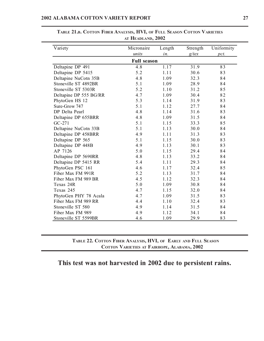| Variety                | Micronaire | Length | Strength | Uniformity |  |  |  |  |
|------------------------|------------|--------|----------|------------|--|--|--|--|
|                        | units      | in.    | $g$ /tex | pct.       |  |  |  |  |
| <b>Full season</b>     |            |        |          |            |  |  |  |  |
| Deltapine DP 491       | 4.8        | 1.17   | 31.9     | 83         |  |  |  |  |
| Deltapine DP 5415      | 5.2        | 1.11   | 30.6     | 83         |  |  |  |  |
| Deltapine NuCotn 35B   | 4.8        | 1.09   | 32.3     | 84         |  |  |  |  |
| Stoneville ST 4892BR   | 5.1        | 1.09   | 28.9     | 84         |  |  |  |  |
| Stoneville ST 5303R    | 5.2        | 1.10   | 31.2     | 85         |  |  |  |  |
| Deltapine DP 555 BG/RR | 4.7        | 1.09   | 30.4     | 82         |  |  |  |  |
| PhytoGen HS 12         | 5.3        | 1.14   | 31.9     | 83         |  |  |  |  |
| Sure-Grow 747          | 5.1        | 1.12   | 27.7     | 84         |  |  |  |  |
| DP Delta Pearl         | 4.8        | 1.14   | 31.6     | 83         |  |  |  |  |
| Deltapine DP 655BRR    | 4.8        | 1.09   | 31.5     | 84         |  |  |  |  |
| $GC-271$               | 5.1        | 1.15   | 33.3     | 85         |  |  |  |  |
| Deltapine NuCotn 33B   | 5.1        | 1.13   | 30.0     | 84         |  |  |  |  |
| Deltapine DP 458BRR    | 4.9        | 1.11   | 31.3     | 83         |  |  |  |  |
| Deltapine DP 565       | 5.1        | 1.15   | 30.0     | 83         |  |  |  |  |
| Deltapine DP 448B      | 4.9        | 1.13   | 30.1     | 83         |  |  |  |  |
| AP 7126                | 5.0        | 1.15   | 29.4     | 84         |  |  |  |  |
| Deltapine DP 5690RR    | 4.8        | 1.13   | 33.2     | 84         |  |  |  |  |
| Deltapine DP 5415 RR   | 5.4        | 1.11   | 29.3     | 84         |  |  |  |  |
| PhytoGen PSC 161       | 4.6        | 1.17   | 32.4     | 85         |  |  |  |  |
| Fiber Max FM 991R      | 5.2        | 1.13   | 31.7     | 84         |  |  |  |  |
| Fiber Max FM 989 BR    | 4.5        | 1.12   | 32.3     | 84         |  |  |  |  |
| Texas 24R              | 5.0        | 1.09   | 30.8     | 84         |  |  |  |  |
| Texas 245              | 4.7        | 1.15   | 32.0     | 84         |  |  |  |  |
| PhytoGen PHY 78 Acala  | 4.7        | 1.09   | 31.5     | 83         |  |  |  |  |
| Fiber Max FM 989 RR    | 4.4        | 1.10   | 32.4     | 83         |  |  |  |  |
| Stoneville ST 580      | 4.9        | 1.14   | 31.5     | 84         |  |  |  |  |
| Fiber Max FM 989       | 4.9        | 1.12   | 34.1     | 84         |  |  |  |  |
| Stoneville ST 5599BR   | 4.6        | 1.09   | 29.9     | 83         |  |  |  |  |

**TABLE 21.B. COTTON FIBER ANALYSIS, HVI, OF FULL SEASON COTTON VARIETIES AT HEADLAND, 2002**

**TABLE 22. COTTON FIBER ANALYSIS, HVI, OF EARLY AND FULL SEASON COTTON VARIETIES AT FAIRHOPE, ALABAMA, 2002**

# **This test was not harvested in 2002 due to persistent rains.**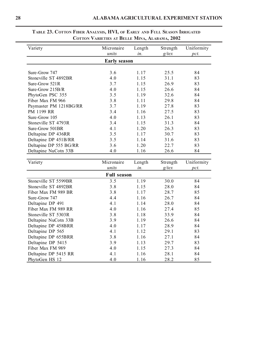| Variety                | Micronaire          | Length | Strength | Uniformity |
|------------------------|---------------------|--------|----------|------------|
|                        | units               | in.    | $g$ /tex | pct.       |
|                        | <b>Early season</b> |        |          |            |
|                        |                     |        |          |            |
| Sure-Grow 747          | 3.6                 | 1.17   | 25.5     | 84         |
| Stoneville ST 4892BR   | 4.0                 | 1.15   | 31.1     | 83         |
| Sure-Grow 521R         | 3.7                 | 1.15   | 26.9     | 83         |
| Sure-Grow 215B/R       | 4.0                 | 1.15   | 26.6     | 84         |
| PhytoGen PSC 355       | 3.5                 | 1.19   | 32.6     | 84         |
| Fiber Max FM 966       | 3.8                 | 1.11   | 29.8     | 84         |
| Paymaster PM 1218BG/RR | 3.7                 | 1.19   | 27.8     | 83         |
| PM 1199 RR             | 3.4                 | 1.16   | 27.5     | 83         |
| Sure-Grow 105          | 4.0                 | 1.13   | 26.1     | 83         |
| Stoneville ST 4793R    | 3.4                 | 1.15   | 31.3     | 84         |
| Sure-Grow 501BR        | 4.1                 | 1.20   | 26.3     | 83         |
| Deltapine DP 436RR     | 3.5                 | 1.17   | 30.7     | 83         |
| Deltapine DP 451B/RR   | 3.5                 | 1.14   | 31.6     | 83         |
| Deltapine DP 555 BG/RR | 3.6                 | 1.20   | 22.7     | 83         |
| Deltapine NuCotn 33B   | 4.0                 | 1.16   | 26.6     | 84         |
|                        |                     |        |          |            |
| Variety                | Micronaire          | Length | Strength | Uniformity |
|                        | units               | in.    | $g$ /tex | pct.       |
|                        | <b>Full season</b>  |        |          |            |
| Stoneville ST 5599BR   | 3.5                 | 1.19   | 30.0     | 84         |
| Stoneville ST 4892BR   | 3.8                 | 1.15   | 28.0     | 84         |
| Fiber Max FM 989 BR    | 3.8                 | 1.17   | 28.7     | 85         |
| Sure-Grow 747          | 4.4                 | 1.16   | 26.7     | 84         |
| Deltapine DP 491       | 4.1                 | 1.14   | 28.0     | 84         |
| Fiber Max FM 989 RR    | 4.0                 | 1.16   | 27.4     | 85         |
| Stoneville ST 5303R    | 3.8                 | 1.18   | 33.9     | 84         |
| Deltapine NuCotn 33B   | 3.9                 | 1.19   | 26.6     | 84         |
| Deltapine DP 458BRR    | 4.0                 | 1.17   | 28.9     | 84         |
| Deltapine DP 565       | 4.1                 | 1.12   | 29.1     | 83         |
| Deltapine DP 655BRR    | 3.8                 | 1.16   | 27.1     | 84         |
| Deltapine DP 5415      | 3.9                 | 1.13   | 29.7     | 83         |
| Fiber Max FM 989       | 4.0                 | 1.15   | 27.3     | 84         |
| Deltapine DP 5415 RR   | 4.1                 | 1.16   | 28.1     | 84         |
| PhytoGen HS 12         | 4.0                 | 1.16   | 28.2     | 85         |

## **TABLE 23. COTTON FIBER ANALYSIS, HVI, OF EARLY AND FULL SEASON IRRIGATED COTTON VARIETIES AT BELLE MINA, ALABAMA, 2002**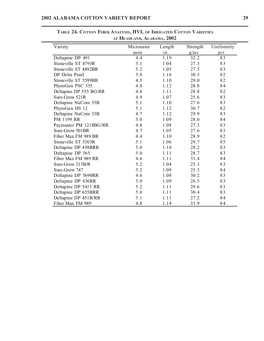| Variety                | Micronaire | Length | Strength | Uniformity |
|------------------------|------------|--------|----------|------------|
|                        | units      | in.    | $g$ /tex | pct.       |
| Deltapine DP 491       | 4.4        | 1.19   | 32.2     | 83         |
| Stoneville ST 4793R    | 5.1        | 1.04   | 27.3     | 83         |
| Stoneville ST 4892BR   | 5.2        | 1.05   | 27.5     | 83         |
| DP Delta Pearl         | 5.0        | 1.16   | 30.3     | 82         |
| Stoneville ST 5599BR   | 4.5        | 1.10   | 29.0     | 82         |
| PhytoGen PSC 355       | 4.8        | 1.12   | 28.8     | 84         |
| Deltapine DP 555 BG/RR | 4.6        | 1.11   | 28.8     | 82         |
| Sure-Grow 521R         | 4.9        | 1.07   | 25.6     | 83         |
| Deltapine NuCotn 35B   | 5.1        | 1.10   | 27.6     | 83         |
| PhytoGen HS 12         | 5.1        | 1.12   | 30.7     | 82         |
| Deltapine NuCotn 33B   | 4.7        | 1.12   | 29.9     | 83         |
| PM 1199 RR             | 5.0        | 1.09   | 28.0     | 84         |
| Paymaster PM 1218BG/RR | 4.8        | 1.08   | 27.3     | 83         |
| Sure-Grow 501BR        | 4.7        | 1.05   | 27.6     | 83         |
| Fiber Max FM 989 BR    | 4.4        | 1.10   | 28.9     | 82         |
| Stoneville ST 5303R    | 5.1        | 1.06   | 29.7     | 85         |
| Deltapine DP 458BRR    | 5.0        | 1.10   | 28.2     | 83         |
| Deltapine DP 565       | 5.0        | 1.11   | 28.7     | 83         |
| Fiber Max FM 989 RR    | 4.6        | 1.11   | 31.4     | 84         |
| Sure-Grow 215B/R       | 5.2        | 1.04   | 25.3     | 83         |
| Sure-Grow 747          | 5.2        | 1.09   | 25.3     | 84         |
| Deltapine DP 5690RR    | 4.6        | 1.08   | 30.2     | 83         |
| Deltapine DP 436RR     | 5.0        | 1.09   | 26.5     | 83         |
| Deltapine DP 5415 RR   | 5.2        | 1.11   | 29.6     | 83         |
| Deltapine DP 655BRR    | 5.0        | 1.11   | 30.4     | 83         |
| Deltapine DP 451B/RR   | 5.1        | 1.11   | 27.2     | 84         |
| Fiber Max FM 989       | 4.8        | 1.14   | 31.9     | 84         |

**TABLE 24. COTTON FIBER ANALYSIS, HVI, OF IRRIGATED COTTON VARIETIES AT HEADLAND, ALABAMA, 2002**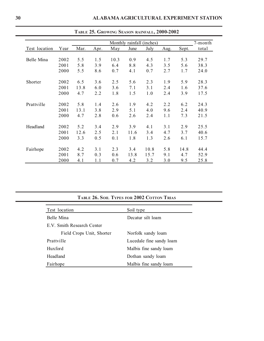|               |      |      |      |      | Monthly rainfall (inches) |      |      |       | 7-month |
|---------------|------|------|------|------|---------------------------|------|------|-------|---------|
| Test location | Year | Mar. | Apr. | May  | June                      | July | Aug. | Sept. | total   |
| Belle Mina    | 2002 | 5.5  | 1.5  | 10.3 | 0.9                       | 4.5  | 1.7  | 5.3   | 29.7    |
|               | 2001 | 5.8  | 3.9  | 6.4  | 8.8                       | 4.3  | 3.5  | 5.6   | 38.3    |
|               | 2000 | 5.5  | 8.6  | 0.7  | 4.1                       | 0.7  | 2.7  | 1.7   | 24.0    |
| Shorter       | 2002 | 6.5  | 3.6  | 2.5  | 5.6                       | 2.3  | 1.9  | 5.9   | 28.3    |
|               | 2001 | 13.8 | 6.0  | 3.6  | 7.1                       | 3.1  | 2.4  | 1.6   | 37.6    |
|               | 2000 | 4.7  | 2.2  | 1.8  | 1.5                       | 1.0  | 2.4  | 3.9   | 17.5    |
| Prattville    | 2002 | 5.8  | 1.4  | 2.6  | 1.9                       | 4.2  | 2.2  | 6.2   | 24.3    |
|               | 2001 | 13.1 | 3.8  | 2.9  | 5.1                       | 4.0  | 9.6  | 2.4   | 40.9    |
|               | 2000 | 4.7  | 2.8  | 0.6  | 2.6                       | 2.4  | 1.1  | 7.3   | 21.5    |
| Headland      | 2002 | 5.2  | 3.4  | 2.9  | 3.9                       | 4.1  | 3.1  | 2.9   | 25.5    |
|               | 2001 | 12.6 | 2.5  | 2.1  | 11.6                      | 3.4  | 4.7  | 3.7   | 40.6    |
|               | 2000 | 3.3  | 0.5  | 0.1  | 1.8                       | 1.3  | 2.6  | 6.1   | 15.7    |
| Fairhope      | 2002 | 4.2  | 3.1  | 2.3  | 3.4                       | 10.8 | 5.8  | 14.8  | 44.4    |
|               | 2001 | 8.7  | 0.3  | 0.6  | 13.8                      | 15.7 | 9.1  | 4.7   | 52.9    |
|               | 2000 | 4.1  | 1.1  | 0.7  | 4.2                       | 3.2  | 3.0  | 9.5   | 25.8    |

**TABLE 25. GROWING SEASON RAINFALL, 2000-2002**

| TABLE 26. SOIL TYPES FOR 2002 COTTON TRIAS |  |  |  |  |
|--------------------------------------------|--|--|--|--|
|--------------------------------------------|--|--|--|--|

| Test location              | Soil type                |
|----------------------------|--------------------------|
| Belle Mina                 | Decatur silt loam        |
| E.V. Smith Research Center |                          |
| Field Crops Unit, Shorter  | Norfolk sandy loam       |
| Prattville                 | Lucedale fine sandy loam |
| Huxford                    | Malbis fine sandy loam   |
| Headland                   | Dothan sandy loam        |
| Fairhope                   | Malbis fine sandy loam   |